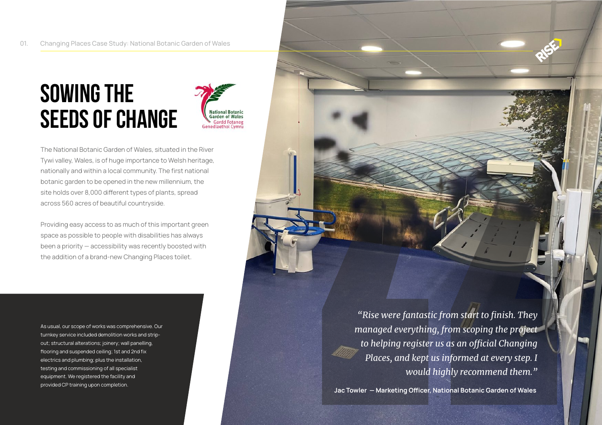## **Sowing The Seeds of Change**



The National Botanic Garden of Wales, situated in the River Tywi valley, Wales, is of huge importance to Welsh heritage, nationally and within a local community. The first national botanic garden to be opened in the new millennium, the site holds over 8,000 different types of plants, spread across 560 acres of beautiful countryside.

Providing easy access to as much of this important green space as possible to people with disabilities has always been a priority — accessibility was recently boosted with the addition of a brand-new Changing Places toilet.

As usual, our scope of works was comprehensive. Our turnkey service included demolition works and stripelectrics and plumbing; plus the installation, equipment. We registered the facility and testing and commissioning of all specialist out; structural alterations; joinery; wall panelling, flooring and suspended ceiling; 1st and 2nd fix provided CP training upon completion.

*"Rise were fantastic from start to finish. They managed everything, from scoping the project*  to helping register us as an official Changing *Places, and kept us informed at every step. I would highly recommend them."* 

Jac Towler – Marketing Officer, National Botanic Garden of Wales